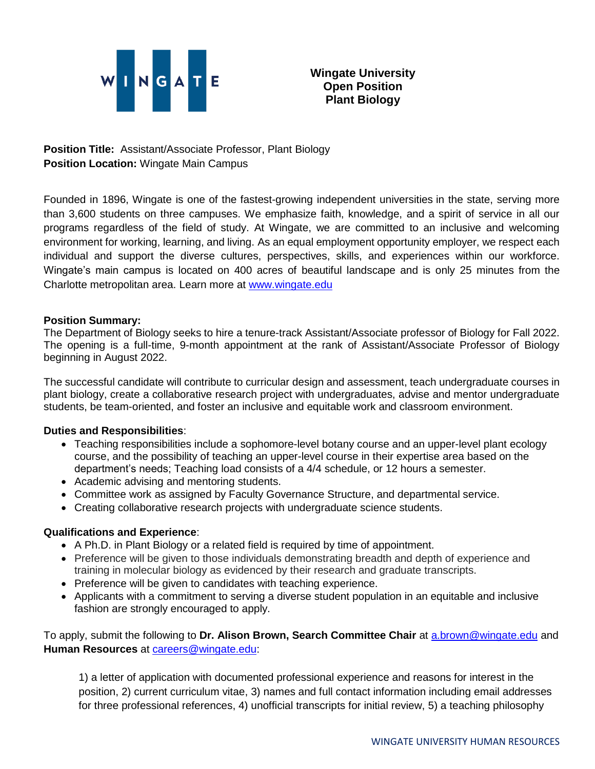

**Position Title:** Assistant/Associate Professor, Plant Biology **Position Location:** Wingate Main Campus

Founded in 1896, Wingate is one of the fastest-growing independent universities in the state, serving more than 3,600 students on three campuses. We emphasize faith, knowledge, and a spirit of service in all our programs regardless of the field of study. At Wingate, we are committed to an inclusive and welcoming environment for working, learning, and living. As an equal employment opportunity employer, we respect each individual and support the diverse cultures, perspectives, skills, and experiences within our workforce. Wingate's main campus is located on 400 acres of beautiful landscape and is only 25 minutes from the Charlotte metropolitan area. Learn more at [www.wingate.edu](http://www.wingate/edu)

## **Position Summary:**

The Department of Biology seeks to hire a tenure-track Assistant/Associate professor of Biology for Fall 2022. The opening is a full-time, 9-month appointment at the rank of Assistant/Associate Professor of Biology beginning in August 2022.

The successful candidate will contribute to curricular design and assessment, teach undergraduate courses in plant biology, create a collaborative research project with undergraduates, advise and mentor undergraduate students, be team-oriented, and foster an inclusive and equitable work and classroom environment.

## **Duties and Responsibilities**:

- Teaching responsibilities include a sophomore-level botany course and an upper-level plant ecology course, and the possibility of teaching an upper-level course in their expertise area based on the department's needs; Teaching load consists of a 4/4 schedule, or 12 hours a semester.
- Academic advising and mentoring students.
- Committee work as assigned by Faculty Governance Structure, and departmental service.
- Creating collaborative research projects with undergraduate science students.

## **Qualifications and Experience**:

- A Ph.D. in Plant Biology or a related field is required by time of appointment.
- Preference will be given to those individuals demonstrating breadth and depth of experience and training in molecular biology as evidenced by their research and graduate transcripts.
- Preference will be given to candidates with teaching experience.
- Applicants with a commitment to serving a diverse student population in an equitable and inclusive fashion are strongly encouraged to apply.

To apply, submit the following to **Dr. Alison Brown, Search Committee Chair** at **a**.brown@wingate.edu and **Human Resources** at [careers@wingate.edu:](mailto:careers@wingate.edu)

1) a letter of application with documented professional experience and reasons for interest in the position, 2) current curriculum vitae, 3) names and full contact information including email addresses for three professional references, 4) unofficial transcripts for initial review, 5) a teaching philosophy